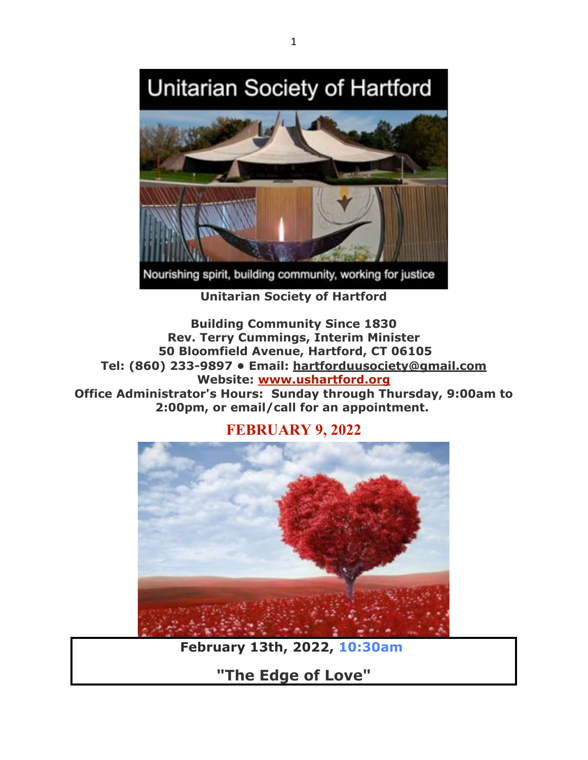# Unitarian Society of Hartford



Nourishing spirit, building community, working for justice

**Unitarian Society of Hartford**

**Building Community Since 1830 Rev. Terry Cummings, Interim Minister 50 Bloomfield Avenue, Hartford, CT 06105 Tel: (860) 233-9897 • Email: hartforduusociety@gmail.com Website: www.ushartford.org Office Administrator's Hours: Sunday through Thursday, 9:00am to 2:00pm, or email/call for an appointment.**



**FEBRUARY 9, 2022**

**February 13th, 2022, 10:30am**

**"The Edge of Love"**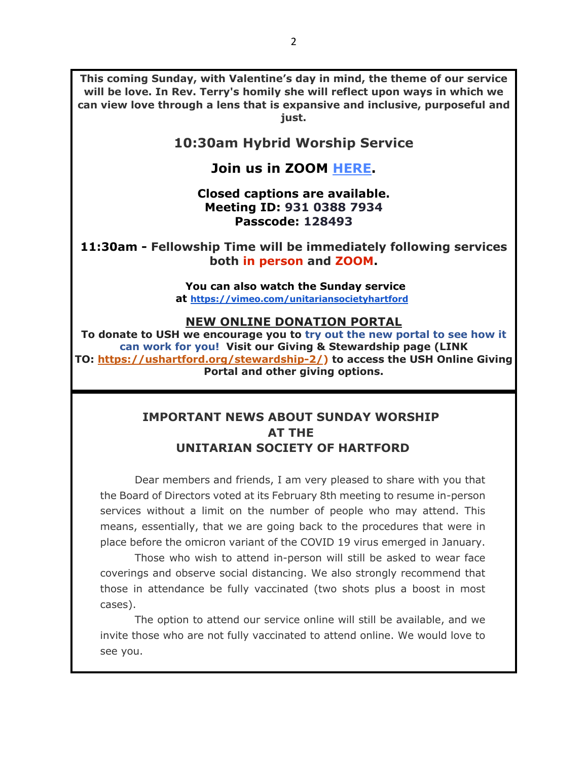**This coming Sunday, with Valentine's day in mind, the theme of our service will be love. In Rev. Terry's homily she will reflect upon ways in which we can view love through a lens that is expansive and inclusive, purposeful and just.**

## **10:30am Hybrid Worship Service**

## **Join us in ZOOM HERE.**

#### **Closed captions are available. Meeting ID: 931 0388 7934 Passcode: 128493**

**11:30am - Fellowship Time will be immediately following services both in person and ZOOM.**

#### **You can also watch the Sunday service at https://vimeo.com/unitariansocietyhartford**

#### **NEW ONLINE DONATION PORTAL**

**To donate to USH we encourage you to try out the new portal to see how it can work for you! Visit our Giving & Stewardship page (LINK TO: https://ushartford.org/stewardship-2/) to access the USH Online Giving Portal and other giving options.**

## **IMPORTANT NEWS ABOUT SUNDAY WORSHIP AT THE UNITARIAN SOCIETY OF HARTFORD**

Dear members and friends, I am very pleased to share with you that the Board of Directors voted at its February 8th meeting to resume in-person services without a limit on the number of people who may attend. This means, essentially, that we are going back to the procedures that were in place before the omicron variant of the COVID 19 virus emerged in January.

Those who wish to attend in-person will still be asked to wear face coverings and observe social distancing. We also strongly recommend that those in attendance be fully vaccinated (two shots plus a boost in most cases).

The option to attend our service online will still be available, and we invite those who are not fully vaccinated to attend online. We would love to see you.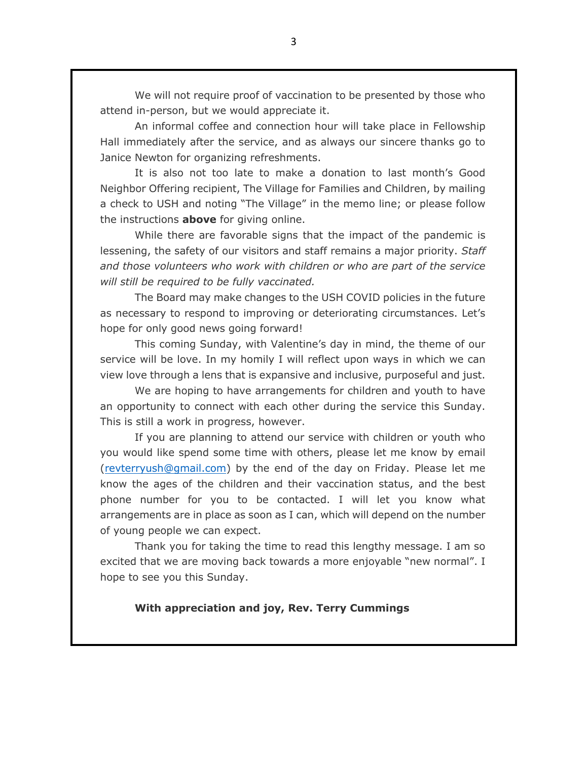We will not require proof of vaccination to be presented by those who attend in-person, but we would appreciate it.

An informal coffee and connection hour will take place in Fellowship Hall immediately after the service, and as always our sincere thanks go to Janice Newton for organizing refreshments.

It is also not too late to make a donation to last month's Good Neighbor Offering recipient, The Village for Families and Children, by mailing a check to USH and noting "The Village" in the memo line; or please follow the instructions **above** for giving online.

While there are favorable signs that the impact of the pandemic is lessening, the safety of our visitors and staff remains a major priority. *Staff and those volunteers who work with children or who are part of the service will still be required to be fully vaccinated.*

The Board may make changes to the USH COVID policies in the future as necessary to respond to improving or deteriorating circumstances. Let's hope for only good news going forward!

This coming Sunday, with Valentine's day in mind, the theme of our service will be love. In my homily I will reflect upon ways in which we can view love through a lens that is expansive and inclusive, purposeful and just.

We are hoping to have arrangements for children and youth to have an opportunity to connect with each other during the service this Sunday. This is still a work in progress, however.

If you are planning to attend our service with children or youth who you would like spend some time with others, please let me know by email (revterryush@gmail.com) by the end of the day on Friday. Please let me know the ages of the children and their vaccination status, and the best phone number for you to be contacted. I will let you know what arrangements are in place as soon as I can, which will depend on the number of young people we can expect.

Thank you for taking the time to read this lengthy message. I am so excited that we are moving back towards a more enjoyable "new normal". I hope to see you this Sunday.

#### **With appreciation and joy, Rev. Terry Cummings**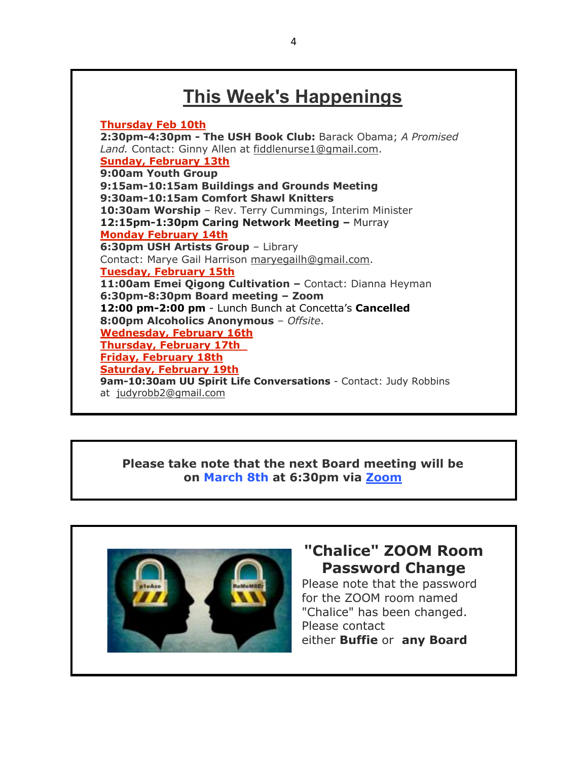# **This Week's Happenings**

**Thursday Feb 10th 2:30pm-4:30pm - The USH Book Club:** Barack Obama; *A Promised Land.* Contact: Ginny Allen at fiddlenurse1@gmail.com. **Sunday, February 13th 9:00am Youth Group 9:15am-10:15am Buildings and Grounds Meeting 9:30am-10:15am Comfort Shawl Knitters 10:30am Worship** *–* Rev. Terry Cummings, Interim Minister **12:15pm-1:30pm Caring Network Meeting –** Murray **Monday February 14th 6:30pm USH Artists Group** – Library Contact: Marye Gail Harrison maryegailh@gmail.com. **Tuesday, February 15th 11:00am Emei Qigong Cultivation –** Contact: Dianna Heyman **6:30pm-8:30pm Board meeting – Zoom 12:00 pm-2:00 pm** - Lunch Bunch at Concetta's **Cancelled 8:00pm Alcoholics Anonymous** – *Offsite*. **Wednesday, February 16th Thursday, February 17th Friday, February 18th Saturday, February 19th 9am-10:30am UU Spirit Life Conversations** - Contact: Judy Robbins at judyrobb2@gmail.com

#### **Please take note that the next Board meeting will be on March 8th at 6:30pm via Zoom**



# **"Chalice" ZOOM Room Password Change**

Please note that the password for the ZOOM room named "Chalice" has been changed. Please contact either **Buffie** or **any Board**